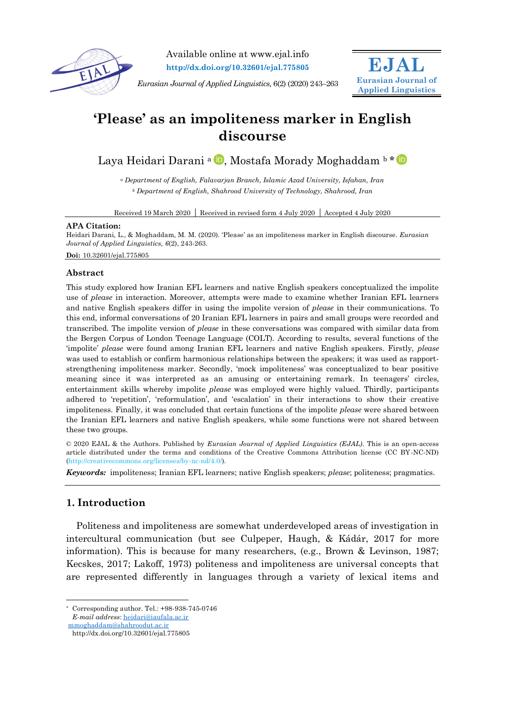

Available online at www.ejal.info **http://dx.doi.org/10.32601/ejal.775805**

*Eurasian Journal of Applied Linguistics,* 6(2) (2020) 243–263



# **'Please' as an impoliteness marker in English discourse**

Laya Heidari Darani <sup>a D</sup>[,](https://orcid.org/0000-0001-6341-5308) Mostafa Morady Moghaddam b [\\*](https://orcid.org/0000-0002-7939-7105)

*<sup>a</sup> Department of English, Falavarjan Branch, Islamic Azad University, Isfahan, Iran <sup>b</sup> Department of English, Shahrood University of Technology, Shahrood, Iran*

Received 19 March 2020 Received in revised form 4 July 2020 Accepted 4 July 2020

#### **APA Citation:**

Heidari Darani, L., & Moghaddam, M. M. (2020). 'Please' as an impoliteness marker in English discourse. *Eurasian Journal of Applied Linguistics, 6*(2), 243-263.

**Doi:** 10.32601/ejal.775805

## **Abstract**

This study explored how Iranian EFL learners and native English speakers conceptualized the impolite use of *please* in interaction. Moreover, attempts were made to examine whether Iranian EFL learners and native English speakers differ in using the impolite version of *please* in their communications. To this end, informal conversations of 20 Iranian EFL learners in pairs and small groups were recorded and transcribed. The impolite version of *please* in these conversations was compared with similar data from the Bergen Corpus of London Teenage Language (COLT). According to results, several functions of the 'impolite' *please* were found among Iranian EFL learners and native English speakers. Firstly, *please* was used to establish or confirm harmonious relationships between the speakers; it was used as rapportstrengthening impoliteness marker. Secondly, 'mock impoliteness' was conceptualized to bear positive meaning since it was interpreted as an amusing or entertaining remark. In teenagers' circles, entertainment skills whereby impolite *please* was employed were highly valued. Thirdly, participants adhered to 'repetition', 'reformulation', and 'escalation' in their interactions to show their creative impoliteness. Finally, it was concluded that certain functions of the impolite *please* were shared between the Iranian EFL learners and native English speakers, while some functions were not shared between these two groups.

© 2020 EJAL & the Authors. Published by *Eurasian Journal of Applied Linguistics (EJAL)*. This is an open-access article distributed under the terms and conditions of the Creative Commons Attribution license (CC BY-NC-ND) (http://creativecommons.org/licenses/by-nc-nd/4.0/).

*Keywords:* impoliteness; Iranian EFL learners; native English speakers; *please*; politeness; pragmatics.

# **1. Introduction**

Politeness and impoliteness are somewhat underdeveloped areas of investigation in intercultural communication (but see Culpeper, Haugh, & Kádár, 2017 for more information). This is because for many researchers, (e.g., Brown & Levinson, 1987; Kecskes, 2017; Lakoff, 1973) politeness and impoliteness are universal concepts that are represented differently in languages through a variety of lexical items and

 $\overline{a}$ 

<sup>\*</sup> Corresponding author. Tel.: +98-938-745-0746 *E-mail address*: [heidari@iaufala.ac.ir](mailto:heidari@iaufala.ac.ir)

[mmoghaddam@shahroodut.ac.ir](mailto:mmoghaddam@shahroodut.ac.ir)

http://dx.doi.org/10.32601/ejal.775805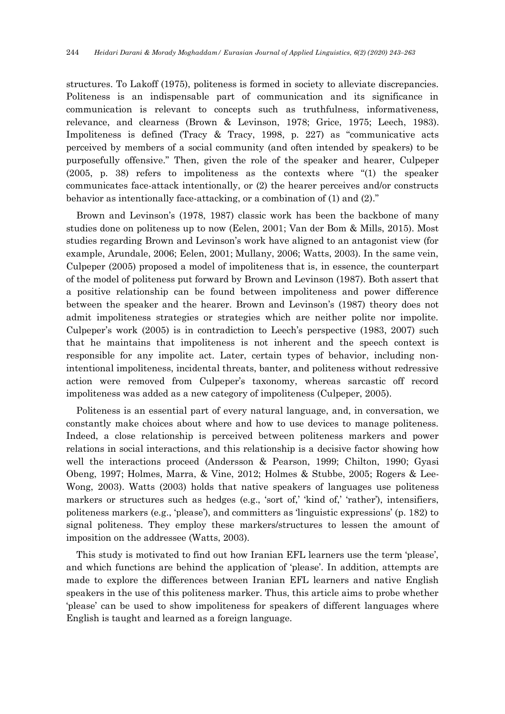structures. To Lakoff (1975), politeness is formed in society to alleviate discrepancies. Politeness is an indispensable part of communication and its significance in communication is relevant to concepts such as truthfulness, informativeness, relevance, and clearness (Brown & Levinson, 1978; Grice, 1975; Leech, 1983). Impoliteness is defined (Tracy & Tracy, 1998, p. 227) as "communicative acts perceived by members of a social community (and often intended by speakers) to be purposefully offensive." Then, given the role of the speaker and hearer, Culpeper (2005, p. 38) refers to impoliteness as the contexts where "(1) the speaker communicates face-attack intentionally, or (2) the hearer perceives and/or constructs behavior as intentionally face-attacking, or a combination of (1) and (2)."

Brown and Levinson's (1978, 1987) classic work has been the backbone of many studies done on politeness up to now (Eelen, 2001; Van der Bom & Mills, 2015). Most studies regarding Brown and Levinson's work have aligned to an antagonist view (for example, Arundale, 2006; Eelen, 2001; Mullany, 2006; Watts, 2003). In the same vein, Culpeper (2005) proposed a model of impoliteness that is, in essence, the counterpart of the model of politeness put forward by Brown and Levinson (1987). Both assert that a positive relationship can be found between impoliteness and power difference between the speaker and the hearer. Brown and Levinson's (1987) theory does not admit impoliteness strategies or strategies which are neither polite nor impolite. Culpeper's work (2005) is in contradiction to Leech's perspective (1983, 2007) such that he maintains that impoliteness is not inherent and the speech context is responsible for any impolite act. Later, certain types of behavior, including nonintentional impoliteness, incidental threats, banter, and politeness without redressive action were removed from Culpeper's taxonomy, whereas sarcastic off record impoliteness was added as a new category of impoliteness (Culpeper, 2005).

Politeness is an essential part of every natural language, and, in conversation, we constantly make choices about where and how to use devices to manage politeness. Indeed, a close relationship is perceived between politeness markers and power relations in social interactions, and this relationship is a decisive factor showing how well the interactions proceed (Andersson & Pearson, 1999; Chilton, 1990; Gyasi Obeng, 1997; Holmes, Marra, & Vine, 2012; Holmes & Stubbe, 2005; Rogers & Lee-Wong, 2003). Watts (2003) holds that native speakers of languages use politeness markers or structures such as hedges (e.g., 'sort of,' 'kind of,' 'rather'), intensifiers, politeness markers (e.g., 'please'), and committers as 'linguistic expressions' (p. 182) to signal politeness. They employ these markers/structures to lessen the amount of imposition on the addressee (Watts, 2003).

This study is motivated to find out how Iranian EFL learners use the term 'please', and which functions are behind the application of 'please'. In addition, attempts are made to explore the differences between Iranian EFL learners and native English speakers in the use of this politeness marker. Thus, this article aims to probe whether 'please' can be used to show impoliteness for speakers of different languages where English is taught and learned as a foreign language.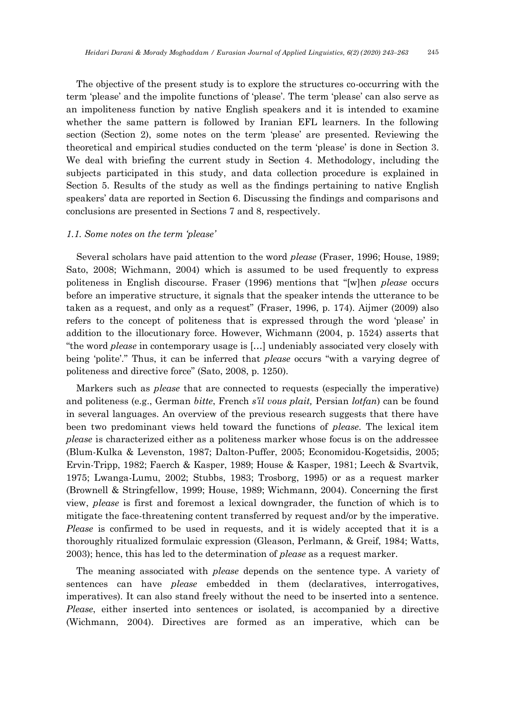The objective of the present study is to explore the structures co-occurring with the term 'please' and the impolite functions of 'please'. The term 'please' can also serve as an impoliteness function by native English speakers and it is intended to examine whether the same pattern is followed by Iranian EFL learners. In the following section (Section 2), some notes on the term 'please' are presented. Reviewing the theoretical and empirical studies conducted on the term 'please' is done in Section 3. We deal with briefing the current study in Section 4. Methodology, including the subjects participated in this study, and data collection procedure is explained in Section 5. Results of the study as well as the findings pertaining to native English speakers' data are reported in Section 6. Discussing the findings and comparisons and conclusions are presented in Sections 7 and 8, respectively.

#### *1.1. Some notes on the term 'please'*

Several scholars have paid attention to the word *please* (Fraser, 1996; House, 1989; Sato, 2008; Wichmann, 2004) which is assumed to be used frequently to express politeness in English discourse. Fraser (1996) mentions that "[w]hen *please* occurs before an imperative structure, it signals that the speaker intends the utterance to be taken as a request, and only as a request" (Fraser, 1996, p. 174). Aijmer (2009) also refers to the concept of politeness that is expressed through the word 'please' in addition to the illocutionary force. However, Wichmann (2004, p. 1524) asserts that "the word *please* in contemporary usage is […] undeniably associated very closely with being 'polite'." Thus, it can be inferred that *please* occurs "with a varying degree of politeness and directive force" (Sato, 2008, p. 1250).

Markers such as *please* that are connected to requests (especially the imperative) and politeness (e.g., German *bitte*, French *s'il vous plait,* Persian *lotfan*) can be found in several languages. An overview of the previous research suggests that there have been two predominant views held toward the functions of *please*. The lexical item *please* is characterized either as a politeness marker whose focus is on the addressee (Blum-Kulka & Levenston, 1987; Dalton-Puffer, 2005; Economidou-Kogetsidis, 2005; Ervin-Tripp, 1982; Faerch & Kasper, 1989; House & Kasper, 1981; Leech & Svartvik, 1975; Lwanga-Lumu, 2002; Stubbs, 1983; Trosborg, 1995) or as a request marker (Brownell & Stringfellow, 1999; House, 1989; Wichmann, 2004). Concerning the first view, *please* is first and foremost a lexical downgrader, the function of which is to mitigate the face-threatening content transferred by request and/or by the imperative. *Please* is confirmed to be used in requests, and it is widely accepted that it is a thoroughly ritualized formulaic expression (Gleason, Perlmann, & Greif, 1984; Watts, 2003); hence, this has led to the determination of *please* as a request marker.

The meaning associated with *please* depends on the sentence type. A variety of sentences can have *please* embedded in them (declaratives, interrogatives, imperatives). It can also stand freely without the need to be inserted into a sentence. *Please*, either inserted into sentences or isolated, is accompanied by a directive (Wichmann, 2004). Directives are formed as an imperative, which can be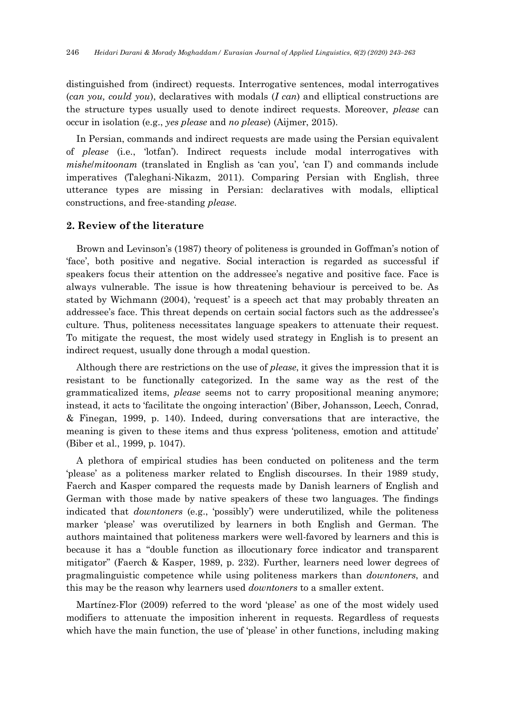distinguished from (indirect) requests. Interrogative sentences, modal interrogatives (*can you, could you*), declaratives with modals (*I can*) and elliptical constructions are the structure types usually used to denote indirect requests. Moreover, *please* can occur in isolation (e.g., *yes please* and *no please*) (Aijmer, 2015).

In Persian, commands and indirect requests are made using the Persian equivalent of *please* (i.e., 'lotfan'). Indirect requests include modal interrogatives with *mishe*/*mitoonam* (translated in English as 'can you', 'can I') and commands include imperatives (Taleghani-Nikazm, 2011). Comparing Persian with English, three utterance types are missing in Persian: declaratives with modals, elliptical constructions, and free-standing *please*.

## **2. Review of the literature**

Brown and Levinson's (1987) theory of politeness is grounded in Goffman's notion of 'face', both positive and negative. Social interaction is regarded as successful if speakers focus their attention on the addressee's negative and positive face. Face is always vulnerable. The issue is how threatening behaviour is perceived to be. As stated by Wichmann (2004), 'request' is a speech act that may probably threaten an addressee's face. This threat depends on certain social factors such as the addressee's culture. Thus, politeness necessitates language speakers to attenuate their request. To mitigate the request, the most widely used strategy in English is to present an indirect request, usually done through a modal question.

Although there are restrictions on the use of *please*, it gives the impression that it is resistant to be functionally categorized. In the same way as the rest of the grammaticalized items, *please* seems not to carry propositional meaning anymore; instead, it acts to 'facilitate the ongoing interaction' (Biber, Johansson, Leech, Conrad, & Finegan, 1999, p. 140). Indeed, during conversations that are interactive, the meaning is given to these items and thus express 'politeness, emotion and attitude' (Biber et al., 1999, p. 1047).

A plethora of empirical studies has been conducted on politeness and the term 'please' as a politeness marker related to English discourses. In their 1989 study, Faerch and Kasper compared the requests made by Danish learners of English and German with those made by native speakers of these two languages. The findings indicated that *downtoners* (e.g., 'possibly') were underutilized, while the politeness marker 'please' was overutilized by learners in both English and German. The authors maintained that politeness markers were well-favored by learners and this is because it has a "double function as illocutionary force indicator and transparent mitigator" (Faerch & Kasper, 1989, p. 232). Further, learners need lower degrees of pragmalinguistic competence while using politeness markers than *downtoners*, and this may be the reason why learners used *downtoners* to a smaller extent.

Martínez-Flor (2009) referred to the word 'please' as one of the most widely used modifiers to attenuate the imposition inherent in requests. Regardless of requests which have the main function, the use of 'please' in other functions, including making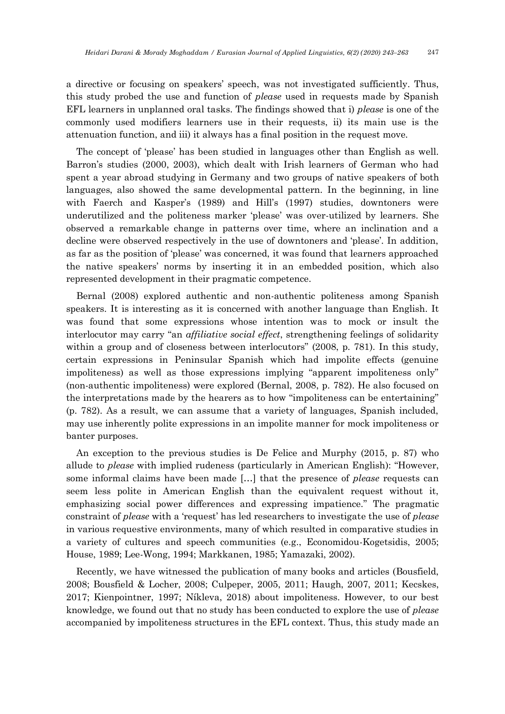a directive or focusing on speakers' speech, was not investigated sufficiently. Thus, this study probed the use and function of *please* used in requests made by Spanish EFL learners in unplanned oral tasks. The findings showed that i) *please* is one of the commonly used modifiers learners use in their requests, ii) its main use is the attenuation function, and iii) it always has a final position in the request move.

The concept of 'please' has been studied in languages other than English as well. Barron's studies (2000, 2003), which dealt with Irish learners of German who had spent a year abroad studying in Germany and two groups of native speakers of both languages, also showed the same developmental pattern. In the beginning, in line with Faerch and Kasper's (1989) and Hill's (1997) studies, downtoners were underutilized and the politeness marker 'please' was over-utilized by learners. She observed a remarkable change in patterns over time, where an inclination and a decline were observed respectively in the use of downtoners and 'please'. In addition, as far as the position of 'please' was concerned, it was found that learners approached the native speakers' norms by inserting it in an embedded position, which also represented development in their pragmatic competence.

Bernal (2008) explored authentic and non-authentic politeness among Spanish speakers. It is interesting as it is concerned with another language than English. It was found that some expressions whose intention was to mock or insult the interlocutor may carry "an *affiliative social effect*, strengthening feelings of solidarity within a group and of closeness between interlocutors" (2008, p. 781). In this study, certain expressions in Peninsular Spanish which had impolite effects (genuine impoliteness) as well as those expressions implying "apparent impoliteness only" (non-authentic impoliteness) were explored (Bernal, 2008, p. 782). He also focused on the interpretations made by the hearers as to how "impoliteness can be entertaining" (p. 782). As a result, we can assume that a variety of languages, Spanish included, may use inherently polite expressions in an impolite manner for mock impoliteness or banter purposes.

An exception to the previous studies is De Felice and Murphy (2015, p. 87) who allude to *please* with implied rudeness (particularly in American English): "However, some informal claims have been made […] that the presence of *please* requests can seem less polite in American English than the equivalent request without it, emphasizing social power differences and expressing impatience." The pragmatic constraint of *please* with a 'request' has led researchers to investigate the use of *please* in various requestive environments, many of which resulted in comparative studies in a variety of cultures and speech communities (e.g., Economidou-Kogetsidis, 2005; House, 1989; Lee-Wong, 1994; Markkanen, 1985; Yamazaki, 2002).

Recently, we have witnessed the publication of many books and articles (Bousfield, 2008; Bousfield & Locher, 2008; Culpeper, 2005, 2011; Haugh, 2007, 2011; Kecskes, 2017; Kienpointner, 1997; Níkleva, 2018) about impoliteness. However, to our best knowledge, we found out that no study has been conducted to explore the use of *please* accompanied by impoliteness structures in the EFL context. Thus, this study made an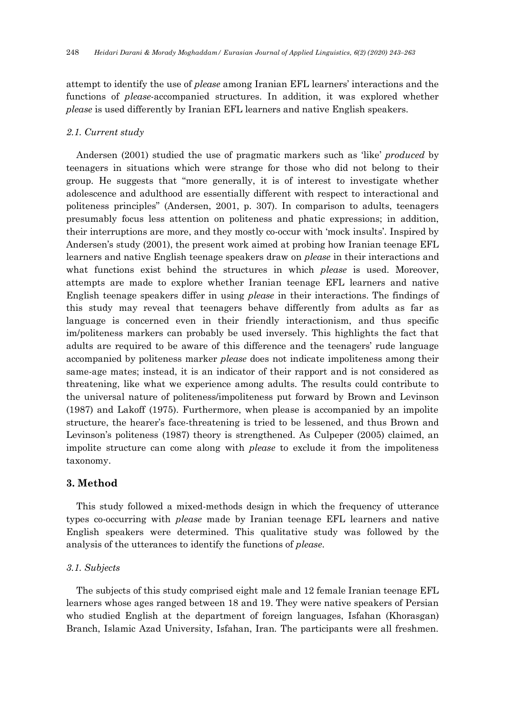attempt to identify the use of *please* among Iranian EFL learners' interactions and the functions of *please*-accompanied structures. In addition, it was explored whether *please* is used differently by Iranian EFL learners and native English speakers.

### *2.1. Current study*

Andersen (2001) studied the use of pragmatic markers such as 'like' *produced* by teenagers in situations which were strange for those who did not belong to their group. He suggests that "more generally, it is of interest to investigate whether adolescence and adulthood are essentially different with respect to interactional and politeness principles" (Andersen, 2001, p. 307). In comparison to adults, teenagers presumably focus less attention on politeness and phatic expressions; in addition, their interruptions are more, and they mostly co-occur with 'mock insults'. Inspired by Andersen's study (2001), the present work aimed at probing how Iranian teenage EFL learners and native English teenage speakers draw on *please* in their interactions and what functions exist behind the structures in which *please* is used. Moreover, attempts are made to explore whether Iranian teenage EFL learners and native English teenage speakers differ in using *please* in their interactions. The findings of this study may reveal that teenagers behave differently from adults as far as language is concerned even in their friendly interactionism, and thus specific im/politeness markers can probably be used inversely. This highlights the fact that adults are required to be aware of this difference and the teenagers' rude language accompanied by politeness marker *please* does not indicate impoliteness among their same-age mates; instead, it is an indicator of their rapport and is not considered as threatening, like what we experience among adults. The results could contribute to the universal nature of politeness/impoliteness put forward by Brown and Levinson (1987) and Lakoff (1975). Furthermore, when please is accompanied by an impolite structure, the hearer's face-threatening is tried to be lessened, and thus Brown and Levinson's politeness (1987) theory is strengthened. As Culpeper (2005) claimed, an impolite structure can come along with *please* to exclude it from the impoliteness taxonomy.

## **3. Method**

This study followed a mixed-methods design in which the frequency of utterance types co-occurring with *please* made by Iranian teenage EFL learners and native English speakers were determined. This qualitative study was followed by the analysis of the utterances to identify the functions of *please*.

#### *3.1. Subjects*

The subjects of this study comprised eight male and 12 female Iranian teenage EFL learners whose ages ranged between 18 and 19. They were native speakers of Persian who studied English at the department of foreign languages, Isfahan (Khorasgan) Branch, Islamic Azad University, Isfahan, Iran. The participants were all freshmen.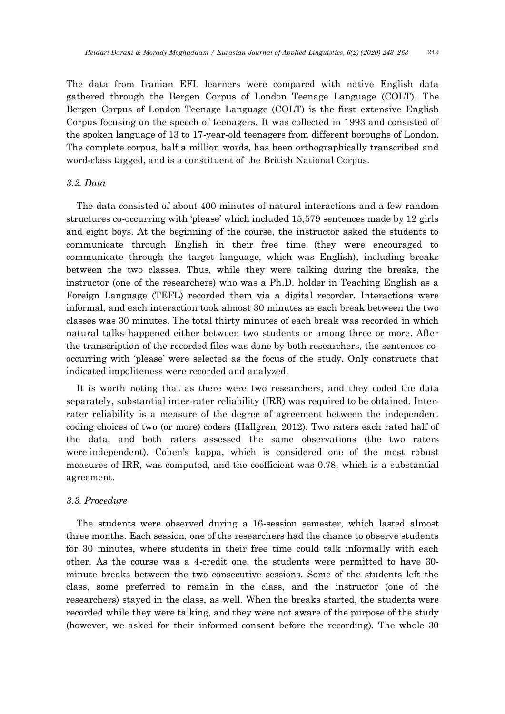The data from Iranian EFL learners were compared with native English data gathered through the Bergen Corpus of London Teenage Language (COLT). The Bergen Corpus of London Teenage Language (COLT) is the first extensive English Corpus focusing on the speech of teenagers. It was collected in 1993 and consisted of the spoken language of 13 to 17-year-old teenagers from different boroughs of London. The complete corpus, half a million words, has been orthographically transcribed and word-class tagged, and is a constituent of the British National Corpus.

## *3.2. Data*

The data consisted of about 400 minutes of natural interactions and a few random structures co-occurring with 'please' which included 15,579 sentences made by 12 girls and eight boys. At the beginning of the course, the instructor asked the students to communicate through English in their free time (they were encouraged to communicate through the target language, which was English), including breaks between the two classes. Thus, while they were talking during the breaks, the instructor (one of the researchers) who was a Ph.D. holder in Teaching English as a Foreign Language (TEFL) recorded them via a digital recorder. Interactions were informal, and each interaction took almost 30 minutes as each break between the two classes was 30 minutes. The total thirty minutes of each break was recorded in which natural talks happened either between two students or among three or more. After the transcription of the recorded files was done by both researchers, the sentences cooccurring with 'please' were selected as the focus of the study. Only constructs that indicated impoliteness were recorded and analyzed.

It is worth noting that as there were two researchers, and they coded the data separately, substantial inter-rater reliability (IRR) was required to be obtained. Interrater reliability is a measure of the degree of agreement between the independent coding choices of two (or more) coders (Hallgren, 2012). Two raters each rated half of the data, and both raters assessed the same observations (the two raters were independent). Cohen's kappa, which is considered one of the most robust measures of IRR, was computed, and the coefficient was 0.78, which is a substantial agreement.

#### *3.3. Procedure*

The students were observed during a 16-session semester, which lasted almost three months. Each session, one of the researchers had the chance to observe students for 30 minutes, where students in their free time could talk informally with each other. As the course was a 4-credit one, the students were permitted to have 30 minute breaks between the two consecutive sessions. Some of the students left the class, some preferred to remain in the class, and the instructor (one of the researchers) stayed in the class, as well. When the breaks started, the students were recorded while they were talking, and they were not aware of the purpose of the study (however, we asked for their informed consent before the recording). The whole 30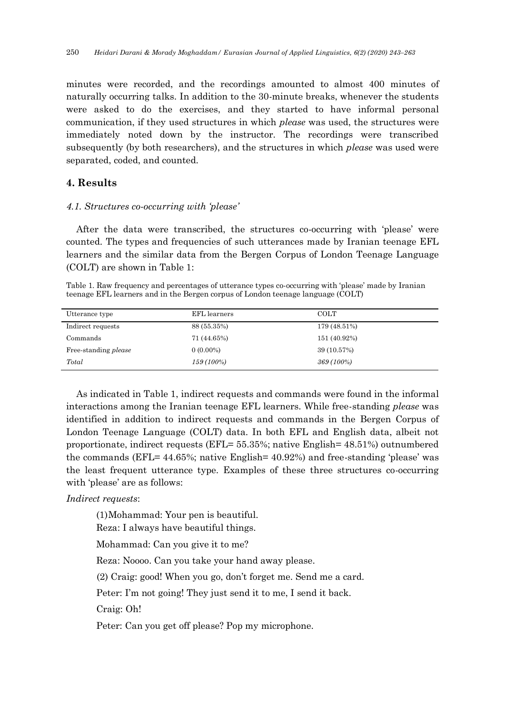minutes were recorded, and the recordings amounted to almost 400 minutes of naturally occurring talks. In addition to the 30-minute breaks, whenever the students were asked to do the exercises, and they started to have informal personal communication, if they used structures in which *please* was used, the structures were immediately noted down by the instructor. The recordings were transcribed subsequently (by both researchers), and the structures in which *please* was used were separated, coded, and counted.

## **4. Results**

#### *4.1. Structures co-occurring with 'please'*

After the data were transcribed, the structures co-occurring with 'please' were counted. The types and frequencies of such utterances made by Iranian teenage EFL learners and the similar data from the Bergen Corpus of London Teenage Language (COLT) are shown in Table 1:

Table 1. Raw frequency and percentages of utterance types co-occurring with 'please' made by Iranian teenage EFL learners and in the Bergen corpus of London teenage language (COLT)

| Utterance type              | EFL learners | <b>COLT</b>  |
|-----------------------------|--------------|--------------|
| Indirect requests           | 88 (55.35%)  | 179 (48.51%) |
| Commands                    | 71 (44.65%)  | 151 (40.92%) |
| Free-standing <i>please</i> | $0(0.00\%)$  | 39 (10.57%)  |
| Total                       | $159(100\%)$ | $369(100\%)$ |

As indicated in Table 1, indirect requests and commands were found in the informal interactions among the Iranian teenage EFL learners. While free-standing *please* was identified in addition to indirect requests and commands in the Bergen Corpus of London Teenage Language (COLT) data. In both EFL and English data, albeit not proportionate, indirect requests (EFL= 55.35%; native English= 48.51%) outnumbered the commands (EFL= 44.65%; native English= 40.92%) and free-standing 'please' was the least frequent utterance type. Examples of these three structures co-occurring with 'please' are as follows:

*Indirect requests*:

(1)Mohammad: Your pen is beautiful.

Reza: I always have beautiful things.

Mohammad: Can you give it to me?

Reza: Noooo. Can you take your hand away please.

(2) Craig: good! When you go, don't forget me. Send me a card.

Peter: I'm not going! They just send it to me, I send it back.

Craig: Oh!

Peter: Can you get off please? Pop my microphone.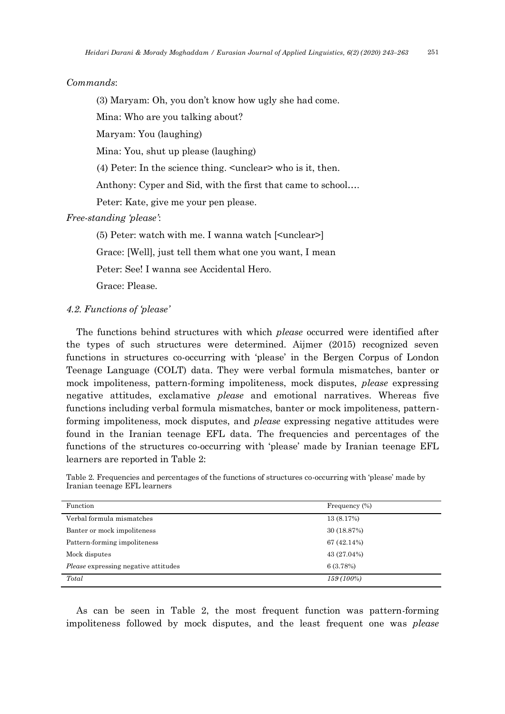*Commands*:

(3) Maryam: Oh, you don't know how ugly she had come.

Mina: Who are you talking about?

Maryam: You (laughing)

Mina: You, shut up please (laughing)

(4) Peter: In the science thing. <unclear> who is it, then.

Anthony: Cyper and Sid, with the first that came to school….

Peter: Kate, give me your pen please.

*Free-standing 'please'*:

(5) Peter: watch with me. I wanna watch [<unclear>] Grace: [Well], just tell them what one you want, I mean Peter: See! I wanna see Accidental Hero. Grace: Please.

## *4.2. Functions of 'please'*

The functions behind structures with which *please* occurred were identified after the types of such structures were determined. Aijmer (2015) recognized seven functions in structures co-occurring with 'please' in the Bergen Corpus of London Teenage Language (COLT) data. They were verbal formula mismatches, banter or mock impoliteness, pattern-forming impoliteness, mock disputes, *please* expressing negative attitudes, exclamative *please* and emotional narratives. Whereas five functions including verbal formula mismatches, banter or mock impoliteness, patternforming impoliteness, mock disputes, and *please* expressing negative attitudes were found in the Iranian teenage EFL data. The frequencies and percentages of the functions of the structures co-occurring with 'please' made by Iranian teenage EFL learners are reported in Table 2:

Table 2. Frequencies and percentages of the functions of structures co-occurring with 'please' made by Iranian teenage EFL learners

| Function                                    | Frequency $(\%)$ |
|---------------------------------------------|------------------|
| Verbal formula mismatches                   | 13 (8.17%)       |
| Banter or mock impoliteness                 | 30 (18.87%)      |
| Pattern-forming impoliteness                | 67 (42.14%)      |
| Mock disputes                               | 43 (27.04%)      |
| <i>Please</i> expressing negative attitudes | 6(3.78%)         |
| Total                                       | $159(100\%)$     |

As can be seen in Table 2, the most frequent function was pattern-forming impoliteness followed by mock disputes, and the least frequent one was *please*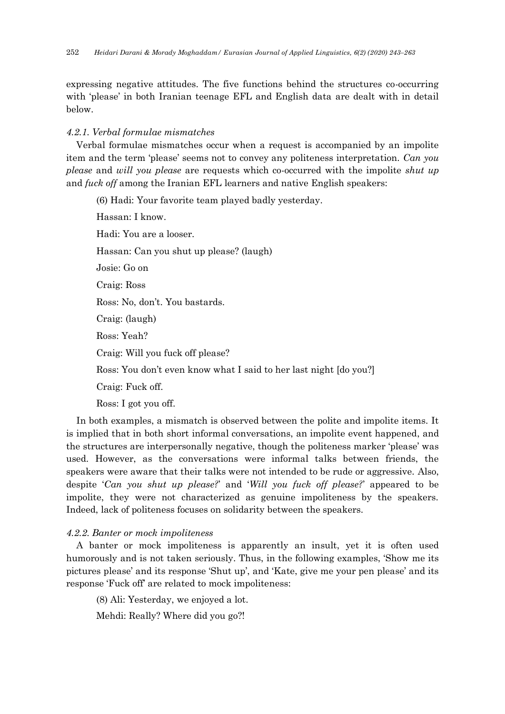expressing negative attitudes. The five functions behind the structures co-occurring with 'please' in both Iranian teenage EFL and English data are dealt with in detail below.

## *4.2.1. Verbal formulae mismatches*

Verbal formulae mismatches occur when a request is accompanied by an impolite item and the term 'please' seems not to convey any politeness interpretation. *Can you please* and *will you please* are requests which co-occurred with the impolite *shut up* and *fuck off* among the Iranian EFL learners and native English speakers:

(6) Hadi: Your favorite team played badly yesterday. Hassan: I know. Hadi: You are a looser. Hassan: Can you shut up please? (laugh) Josie: Go on Craig: Ross Ross: No, don't. You bastards. Craig: (laugh) Ross: Yeah? Craig: Will you fuck off please? Ross: You don't even know what I said to her last night [do you?] Craig: Fuck off. Ross: I got you off.

In both examples, a mismatch is observed between the polite and impolite items. It is implied that in both short informal conversations, an impolite event happened, and the structures are interpersonally negative, though the politeness marker 'please' was used. However, as the conversations were informal talks between friends, the speakers were aware that their talks were not intended to be rude or aggressive. Also, despite '*Can you shut up please?*' and '*Will you fuck off please?*' appeared to be impolite, they were not characterized as genuine impoliteness by the speakers. Indeed, lack of politeness focuses on solidarity between the speakers.

### *4.2.2. Banter or mock impoliteness*

A banter or mock impoliteness is apparently an insult, yet it is often used humorously and is not taken seriously. Thus, in the following examples, 'Show me its pictures please' and its response 'Shut up', and 'Kate, give me your pen please' and its response 'Fuck off' are related to mock impoliteness:

(8) Ali: Yesterday, we enjoyed a lot.

Mehdi: Really? Where did you go?!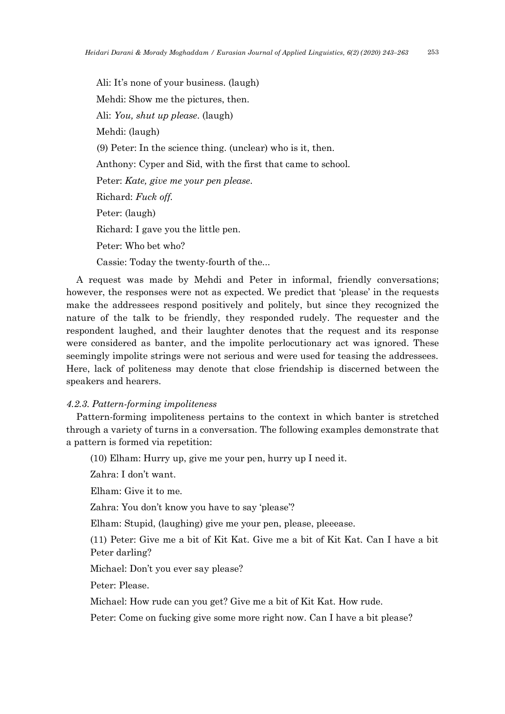Ali: It's none of your business. (laugh) Mehdi: Show me the pictures, then. Ali: *You, shut up please*. (laugh) Mehdi: (laugh) (9) Peter: In the science thing. (unclear) who is it, then. Anthony: Cyper and Sid, with the first that came to school. Peter: *Kate, give me your pen please*. Richard: *Fuck off.* Peter: (laugh) Richard: I gave you the little pen. Peter: Who bet who? Cassie: Today the twenty-fourth of the...

A request was made by Mehdi and Peter in informal, friendly conversations; however, the responses were not as expected. We predict that 'please' in the requests make the addressees respond positively and politely, but since they recognized the nature of the talk to be friendly, they responded rudely. The requester and the respondent laughed, and their laughter denotes that the request and its response were considered as banter, and the impolite perlocutionary act was ignored. These seemingly impolite strings were not serious and were used for teasing the addressees. Here, lack of politeness may denote that close friendship is discerned between the speakers and hearers.

### *4.2.3. Pattern-forming impoliteness*

Pattern-forming impoliteness pertains to the context in which banter is stretched through a variety of turns in a conversation. The following examples demonstrate that a pattern is formed via repetition:

(10) Elham: Hurry up, give me your pen, hurry up I need it.

Zahra: I don't want.

Elham: Give it to me.

Zahra: You don't know you have to say 'please'?

Elham: Stupid, (laughing) give me your pen, please, pleeease.

(11) Peter: Give me a bit of Kit Kat. Give me a bit of Kit Kat. Can I have a bit Peter darling?

Michael: Don't you ever say please?

Peter: Please.

Michael: How rude can you get? Give me a bit of Kit Kat. How rude.

Peter: Come on fucking give some more right now. Can I have a bit please?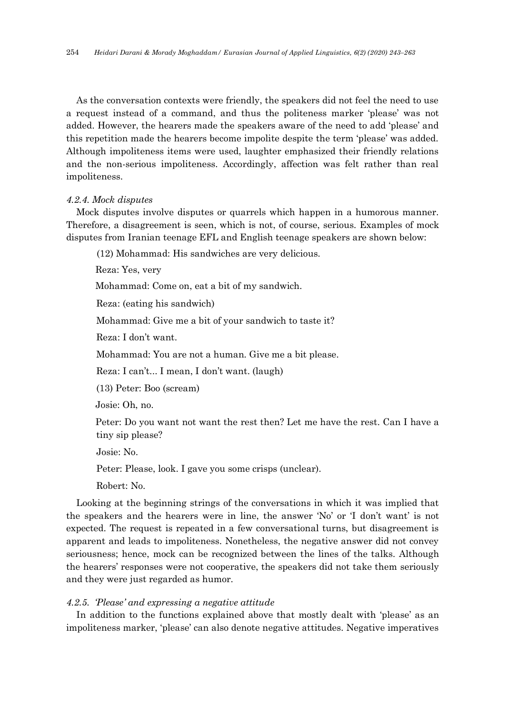As the conversation contexts were friendly, the speakers did not feel the need to use a request instead of a command, and thus the politeness marker 'please' was not added. However, the hearers made the speakers aware of the need to add 'please' and this repetition made the hearers become impolite despite the term 'please' was added. Although impoliteness items were used, laughter emphasized their friendly relations and the non-serious impoliteness. Accordingly, affection was felt rather than real impoliteness.

#### *4.2.4. Mock disputes*

Mock disputes involve disputes or quarrels which happen in a humorous manner. Therefore, a disagreement is seen, which is not, of course, serious. Examples of mock disputes from Iranian teenage EFL and English teenage speakers are shown below:

(12) Mohammad: His sandwiches are very delicious.

Reza: Yes, very

Mohammad: Come on, eat a bit of my sandwich.

Reza: (eating his sandwich)

Mohammad: Give me a bit of your sandwich to taste it?

Reza: I don't want.

Mohammad: You are not a human. Give me a bit please.

Reza: I can't... I mean, I don't want. (laugh)

(13) Peter: Boo (scream)

Josie: Oh, no.

 Peter: Do you want not want the rest then? Let me have the rest. Can I have a tiny sip please?

Josie: No.

Peter: Please, look. I gave you some crisps (unclear).

Robert: No.

Looking at the beginning strings of the conversations in which it was implied that the speakers and the hearers were in line, the answer 'No' or 'I don't want' is not expected. The request is repeated in a few conversational turns, but disagreement is apparent and leads to impoliteness. Nonetheless, the negative answer did not convey seriousness; hence, mock can be recognized between the lines of the talks. Although the hearers' responses were not cooperative, the speakers did not take them seriously and they were just regarded as humor.

### *4.2.5. 'Please' and expressing a negative attitude*

In addition to the functions explained above that mostly dealt with 'please' as an impoliteness marker, 'please' can also denote negative attitudes. Negative imperatives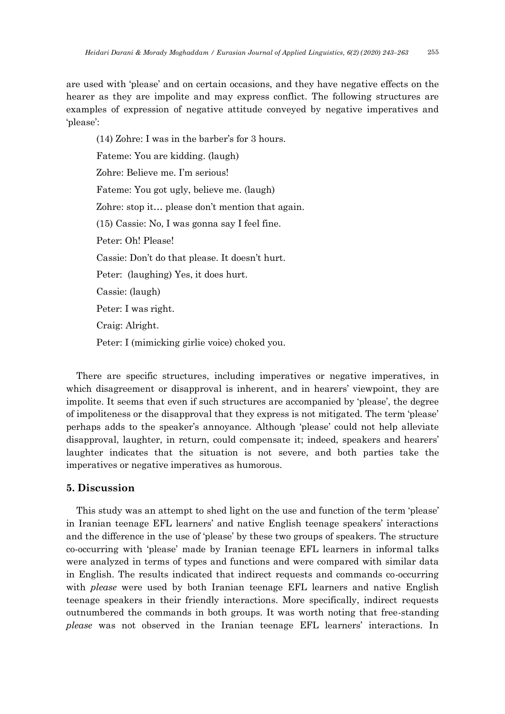are used with 'please' and on certain occasions, and they have negative effects on the hearer as they are impolite and may express conflict. The following structures are examples of expression of negative attitude conveyed by negative imperatives and 'please':

(14) Zohre: I was in the barber's for 3 hours. Fateme: You are kidding. (laugh) Zohre: Believe me. I'm serious! Fateme: You got ugly, believe me. (laugh) Zohre: stop it… please don't mention that again. (15) Cassie: No, I was gonna say I feel fine. Peter: Oh! Please! Cassie: Don't do that please. It doesn't hurt. Peter: (laughing) Yes, it does hurt. Cassie: (laugh) Peter: I was right. Craig: Alright. Peter: I (mimicking girlie voice) choked you.

There are specific structures, including imperatives or negative imperatives, in which disagreement or disapproval is inherent, and in hearers' viewpoint, they are impolite. It seems that even if such structures are accompanied by 'please', the degree of impoliteness or the disapproval that they express is not mitigated. The term 'please' perhaps adds to the speaker's annoyance. Although 'please' could not help alleviate disapproval, laughter, in return, could compensate it; indeed, speakers and hearers' laughter indicates that the situation is not severe, and both parties take the imperatives or negative imperatives as humorous.

## **5. Discussion**

This study was an attempt to shed light on the use and function of the term 'please' in Iranian teenage EFL learners' and native English teenage speakers' interactions and the difference in the use of 'please' by these two groups of speakers. The structure co-occurring with 'please' made by Iranian teenage EFL learners in informal talks were analyzed in terms of types and functions and were compared with similar data in English. The results indicated that indirect requests and commands co-occurring with *please* were used by both Iranian teenage EFL learners and native English teenage speakers in their friendly interactions. More specifically, indirect requests outnumbered the commands in both groups. It was worth noting that free-standing *please* was not observed in the Iranian teenage EFL learners' interactions. In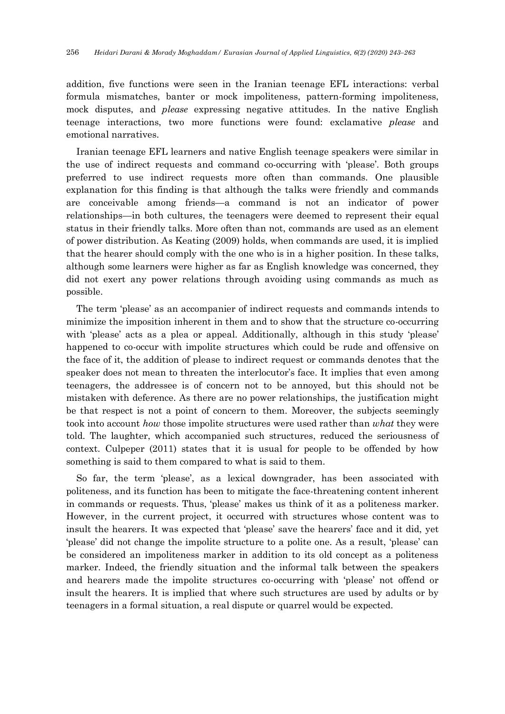addition, five functions were seen in the Iranian teenage EFL interactions: verbal formula mismatches, banter or mock impoliteness, pattern-forming impoliteness, mock disputes, and *please* expressing negative attitudes. In the native English teenage interactions, two more functions were found: exclamative *please* and emotional narratives.

Iranian teenage EFL learners and native English teenage speakers were similar in the use of indirect requests and command co-occurring with 'please'. Both groups preferred to use indirect requests more often than commands. One plausible explanation for this finding is that although the talks were friendly and commands are conceivable among friends—a command is not an indicator of power relationships—in both cultures, the teenagers were deemed to represent their equal status in their friendly talks. More often than not, commands are used as an element of power distribution. As Keating (2009) holds, when commands are used, it is implied that the hearer should comply with the one who is in a higher position. In these talks, although some learners were higher as far as English knowledge was concerned, they did not exert any power relations through avoiding using commands as much as possible.

The term 'please' as an accompanier of indirect requests and commands intends to minimize the imposition inherent in them and to show that the structure co-occurring with 'please' acts as a plea or appeal. Additionally, although in this study 'please' happened to co-occur with impolite structures which could be rude and offensive on the face of it, the addition of please to indirect request or commands denotes that the speaker does not mean to threaten the interlocutor's face. It implies that even among teenagers, the addressee is of concern not to be annoyed, but this should not be mistaken with deference. As there are no power relationships, the justification might be that respect is not a point of concern to them. Moreover, the subjects seemingly took into account *how* those impolite structures were used rather than *what* they were told. The laughter, which accompanied such structures, reduced the seriousness of context. Culpeper (2011) states that it is usual for people to be offended by how something is said to them compared to what is said to them.

So far, the term 'please', as a lexical downgrader, has been associated with politeness, and its function has been to mitigate the face-threatening content inherent in commands or requests. Thus, 'please' makes us think of it as a politeness marker. However, in the current project, it occurred with structures whose content was to insult the hearers. It was expected that 'please' save the hearers' face and it did, yet 'please' did not change the impolite structure to a polite one. As a result, 'please' can be considered an impoliteness marker in addition to its old concept as a politeness marker. Indeed, the friendly situation and the informal talk between the speakers and hearers made the impolite structures co-occurring with 'please' not offend or insult the hearers. It is implied that where such structures are used by adults or by teenagers in a formal situation, a real dispute or quarrel would be expected.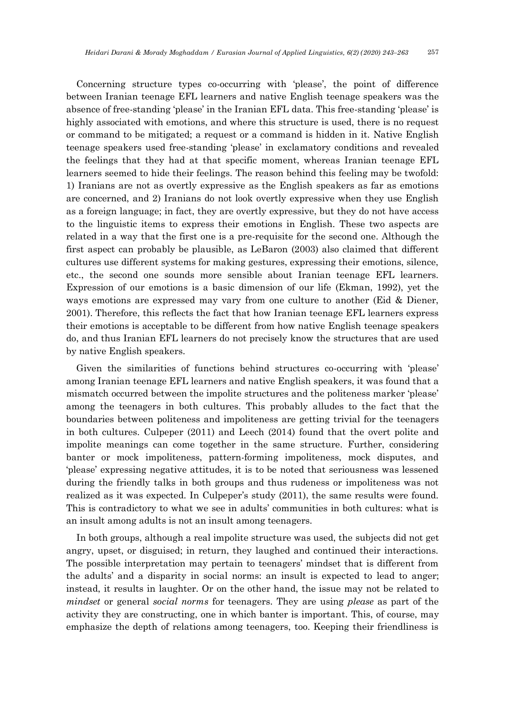Concerning structure types co-occurring with 'please', the point of difference between Iranian teenage EFL learners and native English teenage speakers was the absence of free-standing 'please' in the Iranian EFL data. This free-standing 'please' is highly associated with emotions, and where this structure is used, there is no request or command to be mitigated; a request or a command is hidden in it. Native English teenage speakers used free-standing 'please' in exclamatory conditions and revealed the feelings that they had at that specific moment, whereas Iranian teenage EFL learners seemed to hide their feelings. The reason behind this feeling may be twofold: 1) Iranians are not as overtly expressive as the English speakers as far as emotions are concerned, and 2) Iranians do not look overtly expressive when they use English as a foreign language; in fact, they are overtly expressive, but they do not have access to the linguistic items to express their emotions in English. These two aspects are related in a way that the first one is a pre-requisite for the second one. Although the first aspect can probably be plausible, as LeBaron (2003) also claimed that different cultures use different systems for making gestures, expressing their emotions, silence, etc., the second one sounds more sensible about Iranian teenage EFL learners. Expression of our emotions is a basic dimension of our life (Ekman, 1992), yet the ways emotions are expressed may vary from one culture to another (Eid & Diener, 2001). Therefore, this reflects the fact that how Iranian teenage EFL learners express their emotions is acceptable to be different from how native English teenage speakers do, and thus Iranian EFL learners do not precisely know the structures that are used by native English speakers.

Given the similarities of functions behind structures co-occurring with 'please' among Iranian teenage EFL learners and native English speakers, it was found that a mismatch occurred between the impolite structures and the politeness marker 'please' among the teenagers in both cultures. This probably alludes to the fact that the boundaries between politeness and impoliteness are getting trivial for the teenagers in both cultures. Culpeper (2011) and Leech (2014) found that the overt polite and impolite meanings can come together in the same structure. Further, considering banter or mock impoliteness, pattern-forming impoliteness, mock disputes, and 'please' expressing negative attitudes, it is to be noted that seriousness was lessened during the friendly talks in both groups and thus rudeness or impoliteness was not realized as it was expected. In Culpeper's study (2011), the same results were found. This is contradictory to what we see in adults' communities in both cultures: what is an insult among adults is not an insult among teenagers.

In both groups, although a real impolite structure was used, the subjects did not get angry, upset, or disguised; in return, they laughed and continued their interactions. The possible interpretation may pertain to teenagers' mindset that is different from the adults' and a disparity in social norms: an insult is expected to lead to anger; instead, it results in laughter. Or on the other hand, the issue may not be related to *mindset* or general *social norms* for teenagers. They are using *please* as part of the activity they are constructing, one in which banter is important. This, of course, may emphasize the depth of relations among teenagers, too. Keeping their friendliness is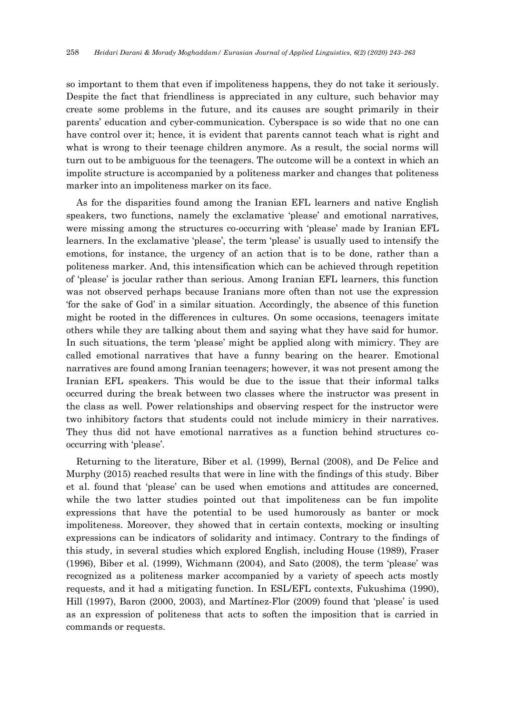so important to them that even if impoliteness happens, they do not take it seriously. Despite the fact that friendliness is appreciated in any culture, such behavior may create some problems in the future, and its causes are sought primarily in their parents' education and cyber-communication. Cyberspace is so wide that no one can have control over it; hence, it is evident that parents cannot teach what is right and what is wrong to their teenage children anymore. As a result, the social norms will turn out to be ambiguous for the teenagers. The outcome will be a context in which an impolite structure is accompanied by a politeness marker and changes that politeness marker into an impoliteness marker on its face.

As for the disparities found among the Iranian EFL learners and native English speakers, two functions, namely the exclamative 'please' and emotional narratives, were missing among the structures co-occurring with 'please' made by Iranian EFL learners. In the exclamative 'please', the term 'please' is usually used to intensify the emotions, for instance, the urgency of an action that is to be done, rather than a politeness marker. And, this intensification which can be achieved through repetition of 'please' is jocular rather than serious. Among Iranian EFL learners, this function was not observed perhaps because Iranians more often than not use the expression 'for the sake of God' in a similar situation. Accordingly, the absence of this function might be rooted in the differences in cultures. On some occasions, teenagers imitate others while they are talking about them and saying what they have said for humor. In such situations, the term 'please' might be applied along with mimicry. They are called emotional narratives that have a funny bearing on the hearer. Emotional narratives are found among Iranian teenagers; however, it was not present among the Iranian EFL speakers. This would be due to the issue that their informal talks occurred during the break between two classes where the instructor was present in the class as well. Power relationships and observing respect for the instructor were two inhibitory factors that students could not include mimicry in their narratives. They thus did not have emotional narratives as a function behind structures cooccurring with 'please'.

Returning to the literature, Biber et al. (1999), Bernal (2008), and De Felice and Murphy (2015) reached results that were in line with the findings of this study. Biber et al. found that 'please' can be used when emotions and attitudes are concerned, while the two latter studies pointed out that impoliteness can be fun impolite expressions that have the potential to be used humorously as banter or mock impoliteness. Moreover, they showed that in certain contexts, mocking or insulting expressions can be indicators of solidarity and intimacy. Contrary to the findings of this study, in several studies which explored English, including House (1989), Fraser (1996), Biber et al. (1999), Wichmann (2004), and Sato (2008), the term 'please' was recognized as a politeness marker accompanied by a variety of speech acts mostly requests, and it had a mitigating function. In ESL/EFL contexts, Fukushima (1990), Hill (1997), Baron (2000, 2003), and Martínez-Flor (2009) found that 'please' is used as an expression of politeness that acts to soften the imposition that is carried in commands or requests.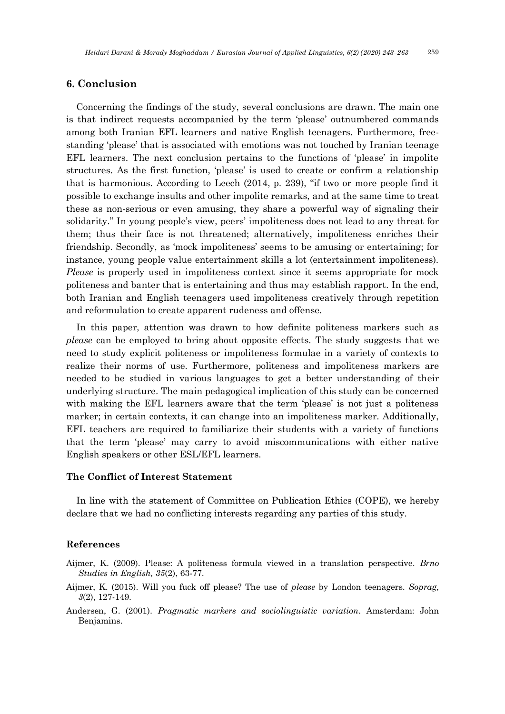## **6. Conclusion**

Concerning the findings of the study, several conclusions are drawn. The main one is that indirect requests accompanied by the term 'please' outnumbered commands among both Iranian EFL learners and native English teenagers. Furthermore, freestanding 'please' that is associated with emotions was not touched by Iranian teenage EFL learners. The next conclusion pertains to the functions of 'please' in impolite structures. As the first function, 'please' is used to create or confirm a relationship that is harmonious. According to Leech (2014, p. 239), "if two or more people find it possible to exchange insults and other impolite remarks, and at the same time to treat these as non-serious or even amusing, they share a powerful way of signaling their solidarity." In young people's view, peers' impoliteness does not lead to any threat for them; thus their face is not threatened; alternatively, impoliteness enriches their friendship. Secondly, as 'mock impoliteness' seems to be amusing or entertaining; for instance, young people value entertainment skills a lot (entertainment impoliteness). *Please* is properly used in impoliteness context since it seems appropriate for mock politeness and banter that is entertaining and thus may establish rapport. In the end, both Iranian and English teenagers used impoliteness creatively through repetition and reformulation to create apparent rudeness and offense.

In this paper, attention was drawn to how definite politeness markers such as *please* can be employed to bring about opposite effects. The study suggests that we need to study explicit politeness or impoliteness formulae in a variety of contexts to realize their norms of use. Furthermore, politeness and impoliteness markers are needed to be studied in various languages to get a better understanding of their underlying structure. The main pedagogical implication of this study can be concerned with making the EFL learners aware that the term 'please' is not just a politeness marker; in certain contexts, it can change into an impoliteness marker. Additionally, EFL teachers are required to familiarize their students with a variety of functions that the term 'please' may carry to avoid miscommunications with either native English speakers or other ESL/EFL learners.

## **The Conflict of Interest Statement**

In line with the statement of Committee on Publication Ethics (COPE), we hereby declare that we had no conflicting interests regarding any parties of this study.

## **References**

- Aijmer, K. (2009). Please: A politeness formula viewed in a translation perspective. *Brno Studies in English, 35*(2), 63-77.
- Aijmer, K. (2015). Will you fuck off please? The use of *please* by London teenagers. *Soprag*, *3*(2), 127-149.
- Andersen, G. (2001). *Pragmatic markers and sociolinguistic variation*. Amsterdam: John Benjamins.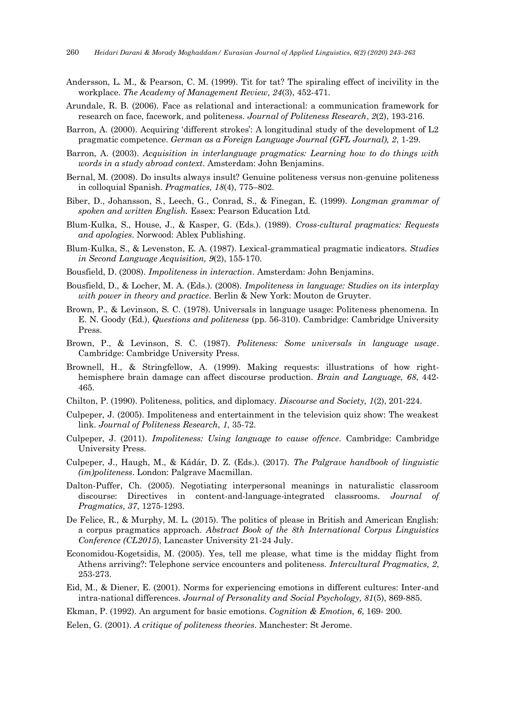- Andersson, L. M., & Pearson, C. M. (1999). Tit for tat? The spiraling effect of incivility in the workplace. *The Academy of Management Review, 24*(3), 452-471.
- Arundale, R. B. (2006). Face as relational and interactional: a communication framework for research on face, facework, and politeness. *Journal of Politeness Research*, *2*(2), 193-216.
- Barron, A. (2000). Acquiring 'different strokes': A longitudinal study of the development of L2 pragmatic competence. *German as a Foreign Language Journal (GFL Journal), 2*, 1-29.
- Barron, A. (2003). *Acquisition in interlanguage pragmatics: Learning how to do things with words in a study abroad context*. Amsterdam: John Benjamins.
- Bernal, M. (2008). Do insults always insult? Genuine politeness versus non-genuine politeness in colloquial Spanish. *Pragmatics, 18*(4), 775–802.
- Biber, D., Johansson, S., Leech, G., Conrad, S., & Finegan, E. (1999). *Longman grammar of spoken and written English.* Essex: Pearson Education Ltd*.*
- Blum-Kulka, S., House, J., & Kasper, G. (Eds.). (1989). *Cross-cultural pragmatics: Requests and apologies*. Norwood: Ablex Publishing.
- Blum-Kulka, S., & Levenston, E. A. (1987). Lexical-grammatical pragmatic indicators. *Studies in Second Language Acquisition, 9*(2), 155-170.
- Bousfield, D. (2008). *Impoliteness in interaction*. Amsterdam: John Benjamins.
- Bousfield, D., & Locher, M. A. (Eds.). (2008). *Impoliteness in language: Studies on its interplay with power in theory and practice*. Berlin & New York: Mouton de Gruyter.
- Brown, P., & Levinson, S. C. (1978). Universals in language usage: Politeness phenomena. In E. N. Goody (Ed.), *Questions and politeness* (pp. 56-310). Cambridge: Cambridge University Press.
- Brown, P., & Levinson, S. C. (1987). *Politeness: Some universals in language usage*. Cambridge: Cambridge University Press.
- Brownell, H., & Stringfellow, A. (1999). Making requests: illustrations of how righthemisphere brain damage can affect discourse production. *Brain and Language, 68*, 442- 465.
- Chilton, P. (1990). Politeness, politics, and diplomacy. *Discourse and Society, 1*(2), 201-224.
- Culpeper, J. (2005). Impoliteness and entertainment in the television quiz show: The weakest link. *Journal of Politeness Research*, *1*, 35-72.
- Culpeper, J. (2011). *Impoliteness: Using language to cause offence*. Cambridge: Cambridge University Press.
- Culpeper, J., Haugh, M., & Kádár, D. Z. (Eds.). (2017). *The Palgrave handbook of linguistic (im)politeness*. London: Palgrave Macmillan.
- Dalton-Puffer, Ch. (2005). Negotiating interpersonal meanings in naturalistic classroom discourse: Directives in content-and-language-integrated classrooms. *Journal of Pragmatics, 37*, 1275-1293.
- De Felice, R., & Murphy, M. L. (2015). The politics of please in British and American English: a corpus pragmatics approach. *Abstract Book of the 8th International Corpus Linguistics Conference (CL2015*), Lancaster University 21-24 July.
- Economidou-Kogetsidis, M. (2005). Yes, tell me please, what time is the midday flight from Athens arriving?: Telephone service encounters and politeness. *Intercultural Pragmatics, 2*, 253-273.
- Eid, M., & Diener, E. (2001). Norms for experiencing emotions in different cultures: Inter-and intra-national differences. *Journal of Personality and Social Psychology, 81*(5), 869-885.
- Ekman, P. (1992). An argument for basic emotions. *Cognition & Emotion, 6*, 169- 200.
- Eelen, G. (2001). *A critique of politeness theories*. Manchester: St Jerome.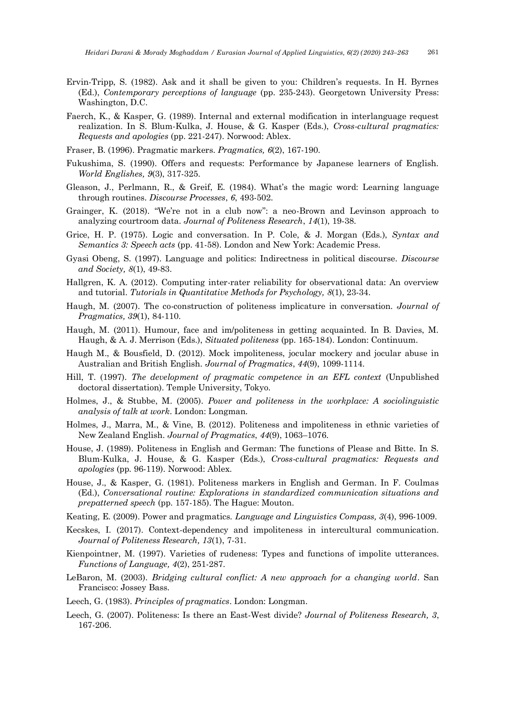- Ervin-Tripp, S. (1982). Ask and it shall be given to you: Children's requests. In H. Byrnes (Ed.), *Contemporary perceptions of language* (pp. 235-243). Georgetown University Press: Washington, D.C.
- Faerch, K., & Kasper, G. (1989). Internal and external modification in interlanguage request realization. In S. Blum-Kulka, J. House, & G. Kasper (Eds.), *Cross-cultural pragmatics: Requests and apologies* (pp. 221-247). Norwood: Ablex.
- Fraser, B. (1996). Pragmatic markers. *Pragmatics, 6*(2), 167-190.
- Fukushima, S. (1990). Offers and requests: Performance by Japanese learners of English. *World Englishes, 9*(3), 317-325.
- Gleason, J., Perlmann, R., & Greif, E. (1984). What's the magic word: Learning language through routines. *Discourse Processes*, *6*, 493-502.
- Grainger, K. (2018). "We're not in a club now": a neo-Brown and Levinson approach to analyzing courtroom data. *Journal of Politeness Research*, *14*(1), 19-38.
- Grice, H. P. (1975). Logic and conversation. In P. Cole, & J. Morgan (Eds.), *Syntax and Semantics 3: Speech acts* (pp. 41-58). London and New York: Academic Press.
- Gyasi Obeng, S. (1997). Language and politics: Indirectness in political discourse. *Discourse and Society, 8*(1), 49-83.
- Hallgren, K. A. (2012). Computing inter-rater reliability for observational data: An overview and tutorial. *Tutorials in Quantitative Methods for Psychology, 8*(1), 23-34.
- Haugh, M. (2007). The co-construction of politeness implicature in conversation. *Journal of Pragmatics, 39*(1), 84-110.
- Haugh, M. (2011). Humour, face and im/politeness in getting acquainted. In B. Davies, M. Haugh, & A. J. Merrison (Eds.), *Situated politeness* (pp. 165-184). London: Continuum.
- Haugh M., & Bousfield, D. (2012). Mock impoliteness, jocular mockery and jocular abuse in Australian and British English*. Journal of Pragmatics*, *44*(9), 1099-1114.
- Hill, T. (1997). *The development of pragmatic competence in an EFL context* (Unpublished doctoral dissertation). Temple University, Tokyo.
- Holmes, J., & Stubbe, M. (2005). *Power and politeness in the workplace: A sociolinguistic analysis of talk at work*. London: Longman.
- Holmes, J., Marra, M., & Vine, B. (2012). Politeness and impoliteness in ethnic varieties of New Zealand English. *Journal of Pragmatics*, *44*(9), 1063–1076.
- House, J. (1989). Politeness in English and German: The functions of Please and Bitte. In S. Blum-Kulka, J. House, & G. Kasper (Eds.), *Cross-cultural pragmatics: Requests and apologies* (pp. 96-119). Norwood: Ablex.
- House, J., & Kasper, G. (1981). Politeness markers in English and German. In F. Coulmas (Ed.), *Conversational routine: Explorations in standardized communication situations and prepatterned speech* (pp. 157-185). The Hague: Mouton.
- Keating, E. (2009). Power and pragmatics. *Language and Linguistics Compass, 3*(4), 996-1009.
- Kecskes, I. (2017). Context-dependency and impoliteness in intercultural communication. *Journal of Politeness Research, 13*(1), 7-31.
- Kienpointner, M. (1997). Varieties of rudeness: Types and functions of impolite utterances. *Functions of Language, 4*(2), 251-287.
- LeBaron, M. (2003). *Bridging cultural conflict: A new approach for a changing world*. San Francisco: Jossey Bass.
- Leech, G. (1983). *Principles of pragmatics*. London: Longman.
- Leech, G. (2007). Politeness: Is there an East-West divide? *Journal of Politeness Research, 3*, 167-206.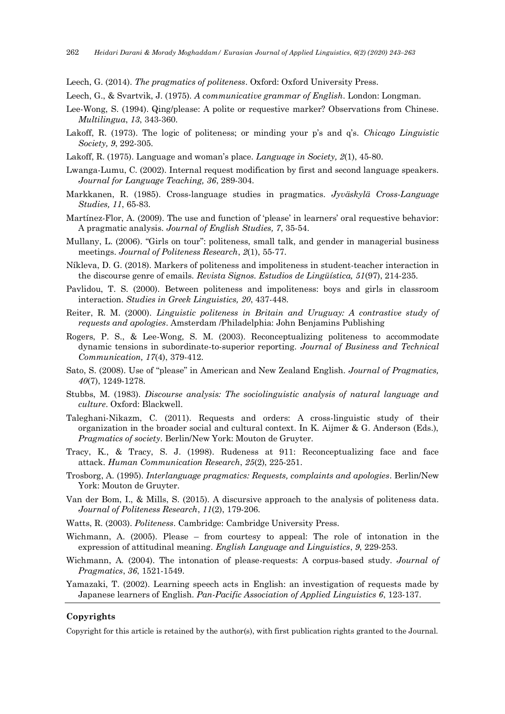Leech, G. (2014). *The pragmatics of politeness*. Oxford: Oxford University Press.

Leech, G., & Svartvik, J. (1975). *A communicative grammar of English*. London: Longman.

- Lee-Wong, S. (1994). Qing/please: A polite or requestive marker? Observations from Chinese. *Multilingua*, *13*, 343-360.
- Lakoff, R. (1973). The logic of politeness; or minding your p's and q's. *Chicago Linguistic Society, 9*, 292-305.
- Lakoff, R. (1975). Language and woman's place. *Language in Society, 2*(1), 45-80.
- Lwanga-Lumu, C. (2002). Internal request modification by first and second language speakers. *Journal for Language Teaching, 36*, 289-304.
- Markkanen, R. (1985). Cross-language studies in pragmatics. *Jyväskylä Cross-Language Studies, 11*, 65-83.
- Martínez-Flor, A. (2009). The use and function of 'please' in learners' oral requestive behavior: A pragmatic analysis. *Journal of English Studies, 7*, 35-54.
- Mullany, L. (2006). "Girls on tour": politeness, small talk, and gender in managerial business meetings. *Journal of Politeness Research*, *2*(1), 55-77.
- Níkleva, D. G. (2018). Markers of politeness and impoliteness in student-teacher interaction in the discourse genre of emails. *Revista Signos. Estudios de Lingüística, 51*(97), 214-235.
- Pavlidou, T. S. (2000). Between politeness and impoliteness: boys and girls in classroom interaction. *Studies in Greek Linguistics, 20*, 437-448.
- Reiter, R. M. (2000). *Linguistic politeness in Britain and Uruguay: A contrastive study of requests and apologies*. Amsterdam /Philadelphia: John Benjamins Publishing
- Rogers, P. S., & Lee-Wong, S. M. (2003). Reconceptualizing politeness to accommodate dynamic tensions in subordinate-to-superior reporting. *Journal of Business and Technical Communication, 17*(4), 379-412.
- Sato, S. (2008). Use of "please" in American and New Zealand English. *Journal of Pragmatics, 40*(7), 1249-1278.
- Stubbs, M. (1983). *Discourse analysis: The sociolinguistic analysis of natural language and culture*. Oxford: Blackwell.
- Taleghani-Nikazm, C. (2011). Requests and orders: A cross-linguistic study of their organization in the broader social and cultural context. In K. Aijmer & G. Anderson (Eds.), *Pragmatics of society*. Berlin/New York: Mouton de Gruyter.
- Tracy, K., & Tracy, S. J. (1998). Rudeness at 911: Reconceptualizing face and face attack. *Human Communication Research*, *25*(2), 225-251.
- Trosborg, A. (1995). *Interlanguage pragmatics: Requests, complaints and apologies*. Berlin/New York: Mouton de Gruyter.
- Van der Bom, I., & Mills, S. (2015). A discursive approach to the analysis of politeness data. *Journal of Politeness Research*, *11*(2), 179-206.
- Watts, R. (2003). *Politeness*. Cambridge: Cambridge University Press.
- Wichmann, A. (2005). Please from courtesy to appeal: The role of intonation in the expression of attitudinal meaning. *English Language and Linguistics*, *9*, 229-253.
- Wichmann, A. (2004). The intonation of please-requests: A corpus-based study. *Journal of Pragmatics*, *36*, 1521-1549.
- Yamazaki, T. (2002). Learning speech acts in English: an investigation of requests made by Japanese learners of English. *Pan-Pacific Association of Applied Linguistics 6*, 123-137.

#### **Copyrights**

Copyright for this article is retained by the author(s), with first publication rights granted to the Journal.